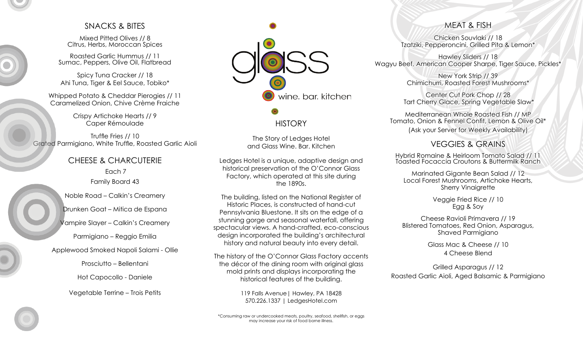## SNACKS & BITES

Mixed Pitted Olives // 8 Citrus, Herbs, Moroccan Spices

Roasted Garlic Hummus // 11 Sumac, Peppers, Olive Oil, Flatbread

Spicy Tuna Cracker // 18 Ahi Tuna, Tiger & Eel Sauce, Tobiko\*

Whipped Potato & Cheddar Pierogies // 11 Caramelized Onion, Chive Crème Fraiche

> Crispy Artichoke Hearts // 9 Caper Rémoulade

Truffle Fries // 10 Grated Parmigiano, White Truffle, Roasted Garlic Aioli

> CHEESE & CHARCUTERIE Each 7 Family Board 43

Noble Road – Calkin's Creamery

Drunken Goat – Mitica de Espana

Vampire Slayer – Calkin's Creamery

Parmigiano – Reggio Emilia

Applewood Smoked Napoli Salami - Ollie

Prosciutto – Bellentani

Hot Capocollo - Daniele

Vegetable Terrine – Trois Petits



## **HISTORY**

The Story of Ledges Hotel and Glass Wine. Bar. Kitchen

Ledges Hotel is a unique, adaptive design and historical preservation of the O'Connor Glass Factory, which operated at this site during the 1890s.

The building, listed on the National Register of Historic Places, is constructed of hand-cut Pennsylvania Bluestone. It sits on the edge of a stunning gorge and seasonal waterfall, offering spectacular views. A hand-crafted, eco-conscious design incorporated the building's architectural history and natural beauty into every detail.

The history of the O'Connor Glass Factory accents the décor of the dining room with original glass mold prints and displays incorporating the historical features of the building.

> 119 Falls Avenue| Hawley, PA 18428 570.226.1337 | LedgesHotel.com

\*Consuming raw or undercooked meats, poultry, seafood, shellfish, or eggs may increase your risk of food borne illness.

## MEAT & FISH

Chicken Souvlaki // 18 Tzatziki, Pepperoncini, Grilled Pita & Lemon\*

Hawley Sliders // 18 Wagyu Beef, American Cooper Sharpe, Tiger Sauce, Pickles\*

> New York Strip // 39 Chimichurri, Roasted Forest Mushrooms\*

Center Cut Pork Chop // 28 Tart Cherry Glace, Spring Vegetable Slaw\*

Mediterranean Whole Roasted Fish // MP Tomato, Onion & Fennel Confit, Lemon & Olive Oil\* (Ask your Server for Weekly Availability)

## VEGGIES & GRAINS

Hybrid Romaine & Heirloom Tomato Salad // 11 Toasted Focaccia Croutons & Buttermilk Ranch

Marinated Gigante Bean Salad // 12 Local Forest Mushrooms, Artichoke Hearts, Sherry Vinaigrette

> Veggie Fried Rice // 10 Egg & Soy

Cheese Ravioli Primavera // 19 Blistered Tomatoes, Red Onion, Asparagus, Shaved Parmigiano

> Glass Mac & Cheese // 10 4 Cheese Blend

Grilled Asparagus // 12 Roasted Garlic Aioli, Aged Balsamic & Parmigiano